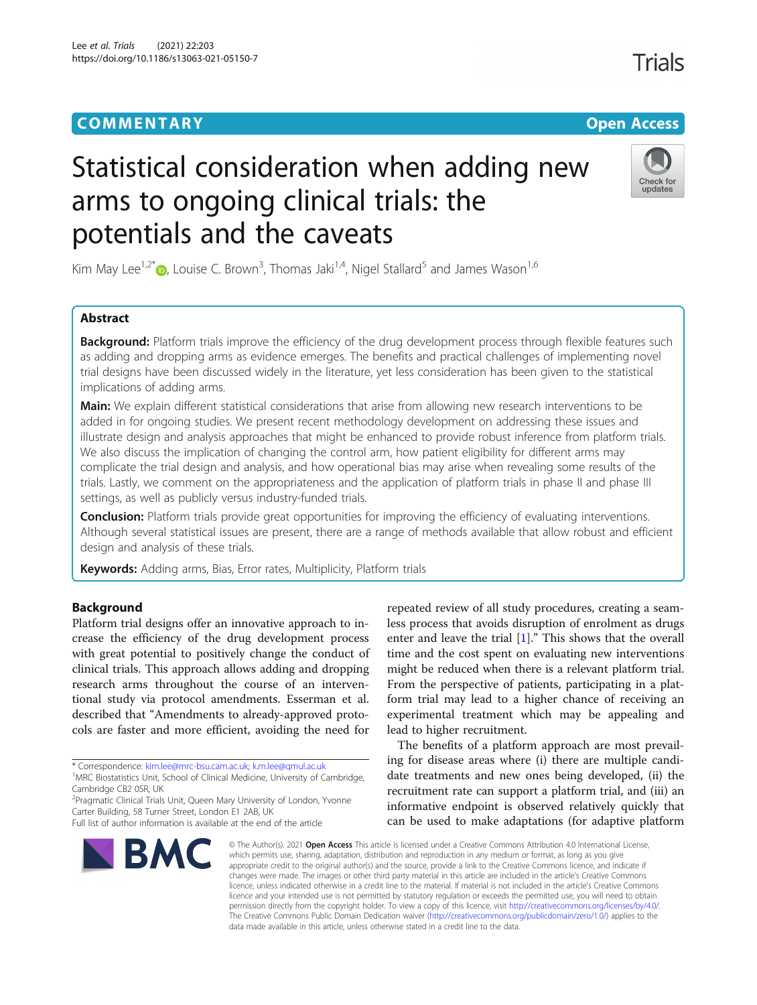# **COMMENTARY COMMENTARY Open Access**

# Trials

# Statistical consideration when adding new arms to ongoing clinical trials: the potentials and the caveats



Kim May Lee<sup>1,2\*</sup>  $\bullet$ , Louise C. Brown<sup>3</sup>, Thomas Jaki<sup>1,4</sup>, Nigel Stallard<sup>5</sup> and James Wason<sup>1,6</sup>

# Abstract

Background: Platform trials improve the efficiency of the drug development process through flexible features such as adding and dropping arms as evidence emerges. The benefits and practical challenges of implementing novel trial designs have been discussed widely in the literature, yet less consideration has been given to the statistical implications of adding arms.

Main: We explain different statistical considerations that arise from allowing new research interventions to be added in for ongoing studies. We present recent methodology development on addressing these issues and illustrate design and analysis approaches that might be enhanced to provide robust inference from platform trials. We also discuss the implication of changing the control arm, how patient eligibility for different arms may complicate the trial design and analysis, and how operational bias may arise when revealing some results of the trials. Lastly, we comment on the appropriateness and the application of platform trials in phase II and phase III settings, as well as publicly versus industry-funded trials.

**Conclusion:** Platform trials provide great opportunities for improving the efficiency of evaluating interventions. Although several statistical issues are present, there are a range of methods available that allow robust and efficient design and analysis of these trials.

Keywords: Adding arms, Bias, Error rates, Multiplicity, Platform trials

# Background

Platform trial designs offer an innovative approach to increase the efficiency of the drug development process with great potential to positively change the conduct of clinical trials. This approach allows adding and dropping research arms throughout the course of an interventional study via protocol amendments. Esserman et al. described that "Amendments to already-approved protocols are faster and more efficient, avoiding the need for

\* Correspondence: [kim.lee@mrc-bsu.cam.ac.uk](mailto:kim.lee@mrc-bsu.cam.ac.uk); [k.m.lee@qmul.ac.uk](mailto:k.m.lee@qmul.ac.uk) <sup>1</sup>

<sup>1</sup>MRC Biostatistics Unit, School of Clinical Medicine, University of Cambridge, Cambridge CB2 0SR, UK

<sup>2</sup> Pragmatic Clinical Trials Unit, Queen Mary University of London, Yvonne Carter Building, 58 Turner Street, London E1 2AB, UK

Full list of author information is available at the end of the article



repeated review of all study procedures, creating a seamless process that avoids disruption of enrolment as drugs enter and leave the trial  $[1]$  $[1]$  $[1]$ ." This shows that the overall time and the cost spent on evaluating new interventions might be reduced when there is a relevant platform trial. From the perspective of patients, participating in a platform trial may lead to a higher chance of receiving an experimental treatment which may be appealing and lead to higher recruitment.

The benefits of a platform approach are most prevailing for disease areas where (i) there are multiple candidate treatments and new ones being developed, (ii) the recruitment rate can support a platform trial, and (iii) an informative endpoint is observed relatively quickly that can be used to make adaptations (for adaptive platform

© The Author(s), 2021 **Open Access** This article is licensed under a Creative Commons Attribution 4.0 International License, which permits use, sharing, adaptation, distribution and reproduction in any medium or format, as long as you give appropriate credit to the original author(s) and the source, provide a link to the Creative Commons licence, and indicate if changes were made. The images or other third party material in this article are included in the article's Creative Commons licence, unless indicated otherwise in a credit line to the material. If material is not included in the article's Creative Commons licence and your intended use is not permitted by statutory regulation or exceeds the permitted use, you will need to obtain permission directly from the copyright holder. To view a copy of this licence, visit [http://creativecommons.org/licenses/by/4.0/.](http://creativecommons.org/licenses/by/4.0/) The Creative Commons Public Domain Dedication waiver [\(http://creativecommons.org/publicdomain/zero/1.0/](http://creativecommons.org/publicdomain/zero/1.0/)) applies to the data made available in this article, unless otherwise stated in a credit line to the data.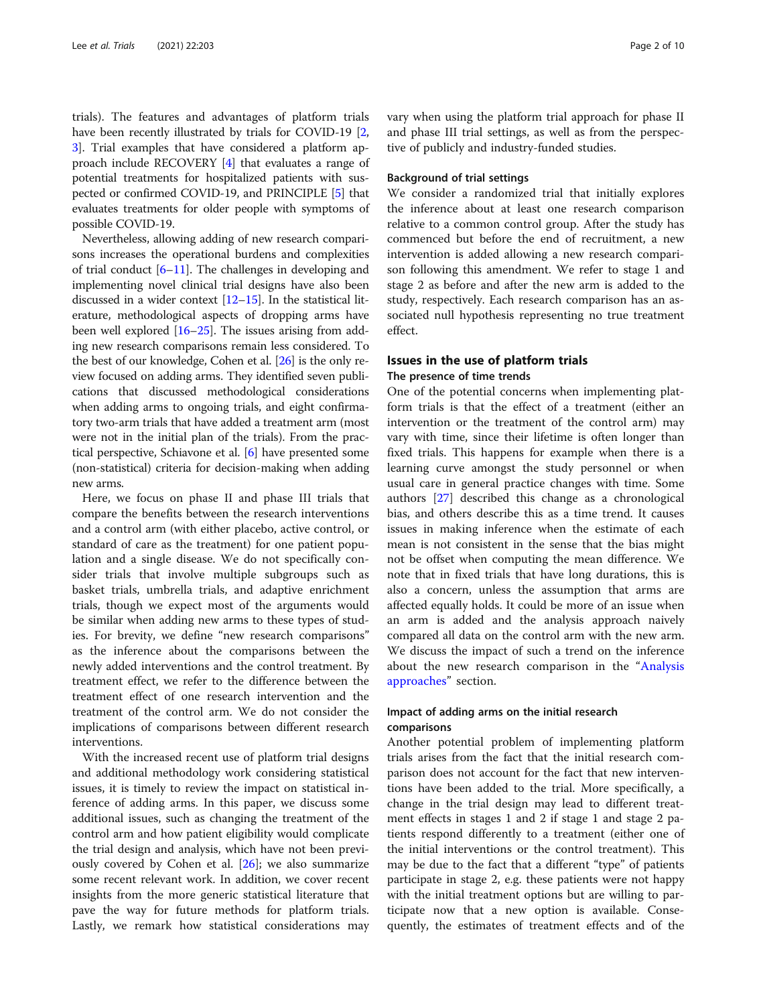<span id="page-1-0"></span>trials). The features and advantages of platform trials have been recently illustrated by trials for COVID-19 [[2](#page-7-0), [3\]](#page-7-0). Trial examples that have considered a platform approach include RECOVERY [[4](#page-7-0)] that evaluates a range of potential treatments for hospitalized patients with suspected or confirmed COVID-19, and PRINCIPLE [[5](#page-7-0)] that evaluates treatments for older people with symptoms of possible COVID-19.

Nevertheless, allowing adding of new research comparisons increases the operational burdens and complexities of trial conduct  $[6–11]$  $[6–11]$  $[6–11]$  $[6–11]$  $[6–11]$ . The challenges in developing and implementing novel clinical trial designs have also been discussed in a wider context [[12](#page-7-0)–[15\]](#page-7-0). In the statistical literature, methodological aspects of dropping arms have been well explored [[16](#page-7-0)–[25\]](#page-8-0). The issues arising from adding new research comparisons remain less considered. To the best of our knowledge, Cohen et al. [[26](#page-8-0)] is the only review focused on adding arms. They identified seven publications that discussed methodological considerations when adding arms to ongoing trials, and eight confirmatory two-arm trials that have added a treatment arm (most were not in the initial plan of the trials). From the practical perspective, Schiavone et al. [\[6\]](#page-7-0) have presented some (non-statistical) criteria for decision-making when adding new arms.

Here, we focus on phase II and phase III trials that compare the benefits between the research interventions and a control arm (with either placebo, active control, or standard of care as the treatment) for one patient population and a single disease. We do not specifically consider trials that involve multiple subgroups such as basket trials, umbrella trials, and adaptive enrichment trials, though we expect most of the arguments would be similar when adding new arms to these types of studies. For brevity, we define "new research comparisons" as the inference about the comparisons between the newly added interventions and the control treatment. By treatment effect, we refer to the difference between the treatment effect of one research intervention and the treatment of the control arm. We do not consider the implications of comparisons between different research interventions.

With the increased recent use of platform trial designs and additional methodology work considering statistical issues, it is timely to review the impact on statistical inference of adding arms. In this paper, we discuss some additional issues, such as changing the treatment of the control arm and how patient eligibility would complicate the trial design and analysis, which have not been previously covered by Cohen et al. [[26\]](#page-8-0); we also summarize some recent relevant work. In addition, we cover recent insights from the more generic statistical literature that pave the way for future methods for platform trials. Lastly, we remark how statistical considerations may vary when using the platform trial approach for phase II and phase III trial settings, as well as from the perspective of publicly and industry-funded studies.

# Background of trial settings

We consider a randomized trial that initially explores the inference about at least one research comparison relative to a common control group. After the study has commenced but before the end of recruitment, a new intervention is added allowing a new research comparison following this amendment. We refer to stage 1 and stage 2 as before and after the new arm is added to the study, respectively. Each research comparison has an associated null hypothesis representing no true treatment effect.

# Issues in the use of platform trials

# The presence of time trends

One of the potential concerns when implementing platform trials is that the effect of a treatment (either an intervention or the treatment of the control arm) may vary with time, since their lifetime is often longer than fixed trials. This happens for example when there is a learning curve amongst the study personnel or when usual care in general practice changes with time. Some authors [[27\]](#page-8-0) described this change as a chronological bias, and others describe this as a time trend. It causes issues in making inference when the estimate of each mean is not consistent in the sense that the bias might not be offset when computing the mean difference. We note that in fixed trials that have long durations, this is also a concern, unless the assumption that arms are affected equally holds. It could be more of an issue when an arm is added and the analysis approach naively compared all data on the control arm with the new arm. We discuss the impact of such a trend on the inference about the new research comparison in the "[Analysis](#page-2-0) [approaches](#page-2-0)" section.

# Impact of adding arms on the initial research comparisons

Another potential problem of implementing platform trials arises from the fact that the initial research comparison does not account for the fact that new interventions have been added to the trial. More specifically, a change in the trial design may lead to different treatment effects in stages 1 and 2 if stage 1 and stage 2 patients respond differently to a treatment (either one of the initial interventions or the control treatment). This may be due to the fact that a different "type" of patients participate in stage 2, e.g. these patients were not happy with the initial treatment options but are willing to participate now that a new option is available. Consequently, the estimates of treatment effects and of the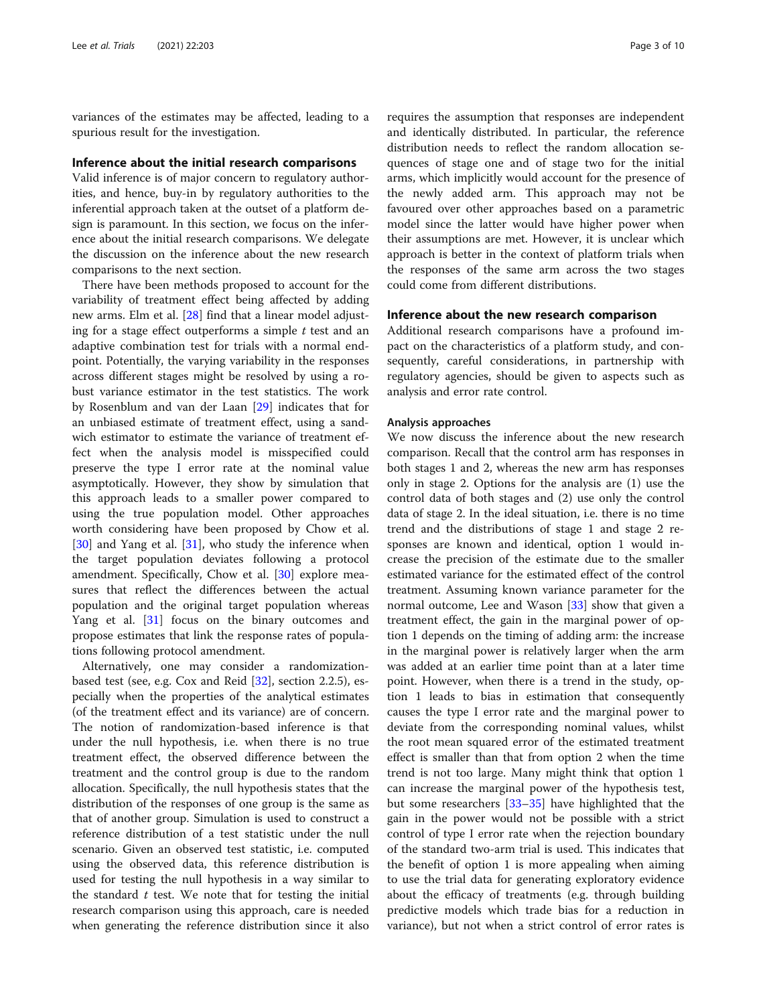<span id="page-2-0"></span>variances of the estimates may be affected, leading to a spurious result for the investigation.

# Inference about the initial research comparisons

Valid inference is of major concern to regulatory authorities, and hence, buy-in by regulatory authorities to the inferential approach taken at the outset of a platform design is paramount. In this section, we focus on the inference about the initial research comparisons. We delegate the discussion on the inference about the new research comparisons to the next section.

There have been methods proposed to account for the variability of treatment effect being affected by adding new arms. Elm et al. [[28](#page-8-0)] find that a linear model adjusting for a stage effect outperforms a simple  $t$  test and an adaptive combination test for trials with a normal endpoint. Potentially, the varying variability in the responses across different stages might be resolved by using a robust variance estimator in the test statistics. The work by Rosenblum and van der Laan [[29\]](#page-8-0) indicates that for an unbiased estimate of treatment effect, using a sandwich estimator to estimate the variance of treatment effect when the analysis model is misspecified could preserve the type I error rate at the nominal value asymptotically. However, they show by simulation that this approach leads to a smaller power compared to using the true population model. Other approaches worth considering have been proposed by Chow et al.  $[30]$  $[30]$  and Yang et al.  $[31]$ , who study the inference when the target population deviates following a protocol amendment. Specifically, Chow et al. [[30\]](#page-8-0) explore measures that reflect the differences between the actual population and the original target population whereas Yang et al. [[31](#page-8-0)] focus on the binary outcomes and propose estimates that link the response rates of populations following protocol amendment.

Alternatively, one may consider a randomizationbased test (see, e.g. Cox and Reid [[32\]](#page-8-0), section 2.2.5), especially when the properties of the analytical estimates (of the treatment effect and its variance) are of concern. The notion of randomization-based inference is that under the null hypothesis, i.e. when there is no true treatment effect, the observed difference between the treatment and the control group is due to the random allocation. Specifically, the null hypothesis states that the distribution of the responses of one group is the same as that of another group. Simulation is used to construct a reference distribution of a test statistic under the null scenario. Given an observed test statistic, i.e. computed using the observed data, this reference distribution is used for testing the null hypothesis in a way similar to the standard  $t$  test. We note that for testing the initial research comparison using this approach, care is needed when generating the reference distribution since it also

requires the assumption that responses are independent and identically distributed. In particular, the reference distribution needs to reflect the random allocation sequences of stage one and of stage two for the initial arms, which implicitly would account for the presence of the newly added arm. This approach may not be favoured over other approaches based on a parametric model since the latter would have higher power when their assumptions are met. However, it is unclear which approach is better in the context of platform trials when the responses of the same arm across the two stages could come from different distributions.

# Inference about the new research comparison

Additional research comparisons have a profound impact on the characteristics of a platform study, and consequently, careful considerations, in partnership with regulatory agencies, should be given to aspects such as analysis and error rate control.

# Analysis approaches

We now discuss the inference about the new research comparison. Recall that the control arm has responses in both stages 1 and 2, whereas the new arm has responses only in stage 2. Options for the analysis are (1) use the control data of both stages and (2) use only the control data of stage 2. In the ideal situation, i.e. there is no time trend and the distributions of stage 1 and stage 2 responses are known and identical, option 1 would increase the precision of the estimate due to the smaller estimated variance for the estimated effect of the control treatment. Assuming known variance parameter for the normal outcome, Lee and Wason [\[33](#page-8-0)] show that given a treatment effect, the gain in the marginal power of option 1 depends on the timing of adding arm: the increase in the marginal power is relatively larger when the arm was added at an earlier time point than at a later time point. However, when there is a trend in the study, option 1 leads to bias in estimation that consequently causes the type I error rate and the marginal power to deviate from the corresponding nominal values, whilst the root mean squared error of the estimated treatment effect is smaller than that from option 2 when the time trend is not too large. Many might think that option 1 can increase the marginal power of the hypothesis test, but some researchers [[33](#page-8-0)–[35](#page-8-0)] have highlighted that the gain in the power would not be possible with a strict control of type I error rate when the rejection boundary of the standard two-arm trial is used. This indicates that the benefit of option 1 is more appealing when aiming to use the trial data for generating exploratory evidence about the efficacy of treatments (e.g. through building predictive models which trade bias for a reduction in variance), but not when a strict control of error rates is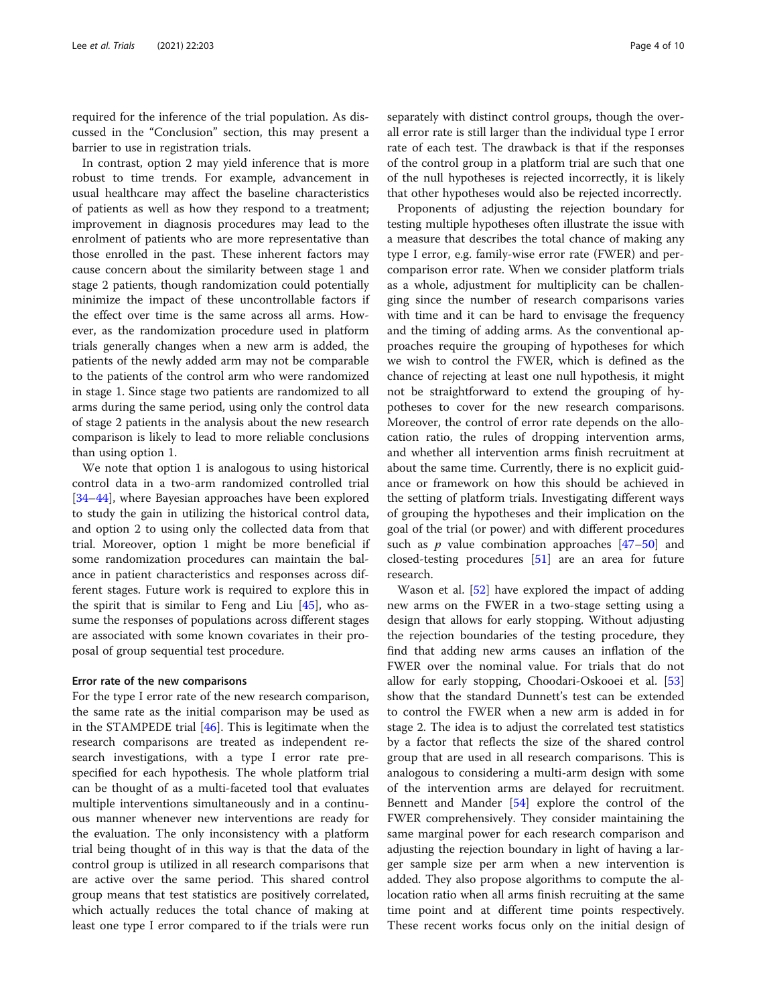required for the inference of the trial population. As discussed in the "Conclusion" section, this may present a barrier to use in registration trials.

In contrast, option 2 may yield inference that is more robust to time trends. For example, advancement in usual healthcare may affect the baseline characteristics of patients as well as how they respond to a treatment; improvement in diagnosis procedures may lead to the enrolment of patients who are more representative than those enrolled in the past. These inherent factors may cause concern about the similarity between stage 1 and stage 2 patients, though randomization could potentially minimize the impact of these uncontrollable factors if the effect over time is the same across all arms. However, as the randomization procedure used in platform trials generally changes when a new arm is added, the patients of the newly added arm may not be comparable to the patients of the control arm who were randomized in stage 1. Since stage two patients are randomized to all arms during the same period, using only the control data of stage 2 patients in the analysis about the new research comparison is likely to lead to more reliable conclusions than using option 1.

We note that option 1 is analogous to using historical control data in a two-arm randomized controlled trial [[34](#page-8-0)–[44](#page-8-0)], where Bayesian approaches have been explored to study the gain in utilizing the historical control data, and option 2 to using only the collected data from that trial. Moreover, option 1 might be more beneficial if some randomization procedures can maintain the balance in patient characteristics and responses across different stages. Future work is required to explore this in the spirit that is similar to Feng and Liu  $[45]$  $[45]$ , who assume the responses of populations across different stages are associated with some known covariates in their proposal of group sequential test procedure.

# Error rate of the new comparisons

For the type I error rate of the new research comparison, the same rate as the initial comparison may be used as in the STAMPEDE trial [[46](#page-8-0)]. This is legitimate when the research comparisons are treated as independent research investigations, with a type I error rate prespecified for each hypothesis. The whole platform trial can be thought of as a multi-faceted tool that evaluates multiple interventions simultaneously and in a continuous manner whenever new interventions are ready for the evaluation. The only inconsistency with a platform trial being thought of in this way is that the data of the control group is utilized in all research comparisons that are active over the same period. This shared control group means that test statistics are positively correlated, which actually reduces the total chance of making at least one type I error compared to if the trials were run

separately with distinct control groups, though the overall error rate is still larger than the individual type I error rate of each test. The drawback is that if the responses of the control group in a platform trial are such that one of the null hypotheses is rejected incorrectly, it is likely that other hypotheses would also be rejected incorrectly.

Proponents of adjusting the rejection boundary for testing multiple hypotheses often illustrate the issue with a measure that describes the total chance of making any type I error, e.g. family-wise error rate (FWER) and percomparison error rate. When we consider platform trials as a whole, adjustment for multiplicity can be challenging since the number of research comparisons varies with time and it can be hard to envisage the frequency and the timing of adding arms. As the conventional approaches require the grouping of hypotheses for which we wish to control the FWER, which is defined as the chance of rejecting at least one null hypothesis, it might not be straightforward to extend the grouping of hypotheses to cover for the new research comparisons. Moreover, the control of error rate depends on the allocation ratio, the rules of dropping intervention arms, and whether all intervention arms finish recruitment at about the same time. Currently, there is no explicit guidance or framework on how this should be achieved in the setting of platform trials. Investigating different ways of grouping the hypotheses and their implication on the goal of the trial (or power) and with different procedures such as  $p$  value combination approaches  $[47-50]$  $[47-50]$  $[47-50]$  $[47-50]$  $[47-50]$  and closed-testing procedures [[51\]](#page-8-0) are an area for future research.

Wason et al. [[52](#page-8-0)] have explored the impact of adding new arms on the FWER in a two-stage setting using a design that allows for early stopping. Without adjusting the rejection boundaries of the testing procedure, they find that adding new arms causes an inflation of the FWER over the nominal value. For trials that do not allow for early stopping, Choodari-Oskooei et al. [[53](#page-8-0)] show that the standard Dunnett's test can be extended to control the FWER when a new arm is added in for stage 2. The idea is to adjust the correlated test statistics by a factor that reflects the size of the shared control group that are used in all research comparisons. This is analogous to considering a multi-arm design with some of the intervention arms are delayed for recruitment. Bennett and Mander [[54\]](#page-8-0) explore the control of the FWER comprehensively. They consider maintaining the same marginal power for each research comparison and adjusting the rejection boundary in light of having a larger sample size per arm when a new intervention is added. They also propose algorithms to compute the allocation ratio when all arms finish recruiting at the same time point and at different time points respectively. These recent works focus only on the initial design of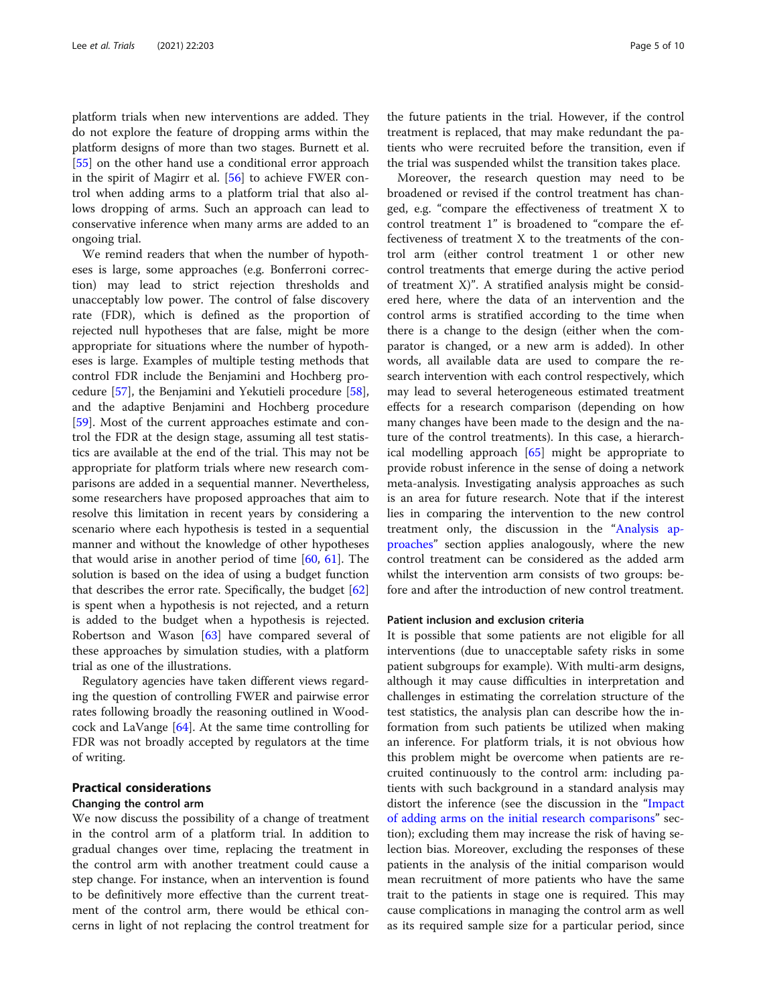<span id="page-4-0"></span>platform trials when new interventions are added. They do not explore the feature of dropping arms within the platform designs of more than two stages. Burnett et al. [[55\]](#page-8-0) on the other hand use a conditional error approach in the spirit of Magirr et al. [[56\]](#page-8-0) to achieve FWER control when adding arms to a platform trial that also allows dropping of arms. Such an approach can lead to conservative inference when many arms are added to an ongoing trial.

We remind readers that when the number of hypotheses is large, some approaches (e.g. Bonferroni correction) may lead to strict rejection thresholds and unacceptably low power. The control of false discovery rate (FDR), which is defined as the proportion of rejected null hypotheses that are false, might be more appropriate for situations where the number of hypotheses is large. Examples of multiple testing methods that control FDR include the Benjamini and Hochberg procedure [[57](#page-8-0)], the Benjamini and Yekutieli procedure [\[58](#page-8-0)], and the adaptive Benjamini and Hochberg procedure [[59\]](#page-8-0). Most of the current approaches estimate and control the FDR at the design stage, assuming all test statistics are available at the end of the trial. This may not be appropriate for platform trials where new research comparisons are added in a sequential manner. Nevertheless, some researchers have proposed approaches that aim to resolve this limitation in recent years by considering a scenario where each hypothesis is tested in a sequential manner and without the knowledge of other hypotheses that would arise in another period of time [\[60,](#page-8-0) [61](#page-8-0)]. The solution is based on the idea of using a budget function that describes the error rate. Specifically, the budget [[62](#page-8-0)] is spent when a hypothesis is not rejected, and a return is added to the budget when a hypothesis is rejected. Robertson and Wason [\[63](#page-8-0)] have compared several of these approaches by simulation studies, with a platform trial as one of the illustrations.

Regulatory agencies have taken different views regarding the question of controlling FWER and pairwise error rates following broadly the reasoning outlined in Woodcock and LaVange [[64](#page-8-0)]. At the same time controlling for FDR was not broadly accepted by regulators at the time of writing.

# Practical considerations

# Changing the control arm

We now discuss the possibility of a change of treatment in the control arm of a platform trial. In addition to gradual changes over time, replacing the treatment in the control arm with another treatment could cause a step change. For instance, when an intervention is found to be definitively more effective than the current treatment of the control arm, there would be ethical concerns in light of not replacing the control treatment for the future patients in the trial. However, if the control treatment is replaced, that may make redundant the patients who were recruited before the transition, even if the trial was suspended whilst the transition takes place.

Moreover, the research question may need to be broadened or revised if the control treatment has changed, e.g. "compare the effectiveness of treatment X to control treatment 1" is broadened to "compare the effectiveness of treatment X to the treatments of the control arm (either control treatment 1 or other new control treatments that emerge during the active period of treatment X)". A stratified analysis might be considered here, where the data of an intervention and the control arms is stratified according to the time when there is a change to the design (either when the comparator is changed, or a new arm is added). In other words, all available data are used to compare the research intervention with each control respectively, which may lead to several heterogeneous estimated treatment effects for a research comparison (depending on how many changes have been made to the design and the nature of the control treatments). In this case, a hierarchical modelling approach [[65\]](#page-8-0) might be appropriate to provide robust inference in the sense of doing a network meta-analysis. Investigating analysis approaches as such is an area for future research. Note that if the interest lies in comparing the intervention to the new control treatment only, the discussion in the "[Analysis ap](#page-2-0)[proaches](#page-2-0)" section applies analogously, where the new control treatment can be considered as the added arm whilst the intervention arm consists of two groups: before and after the introduction of new control treatment.

## Patient inclusion and exclusion criteria

It is possible that some patients are not eligible for all interventions (due to unacceptable safety risks in some patient subgroups for example). With multi-arm designs, although it may cause difficulties in interpretation and challenges in estimating the correlation structure of the test statistics, the analysis plan can describe how the information from such patients be utilized when making an inference. For platform trials, it is not obvious how this problem might be overcome when patients are recruited continuously to the control arm: including patients with such background in a standard analysis may distort the inference (see the discussion in the "[Impact](#page-1-0) [of adding arms on the initial research comparisons](#page-1-0)" section); excluding them may increase the risk of having selection bias. Moreover, excluding the responses of these patients in the analysis of the initial comparison would mean recruitment of more patients who have the same trait to the patients in stage one is required. This may cause complications in managing the control arm as well as its required sample size for a particular period, since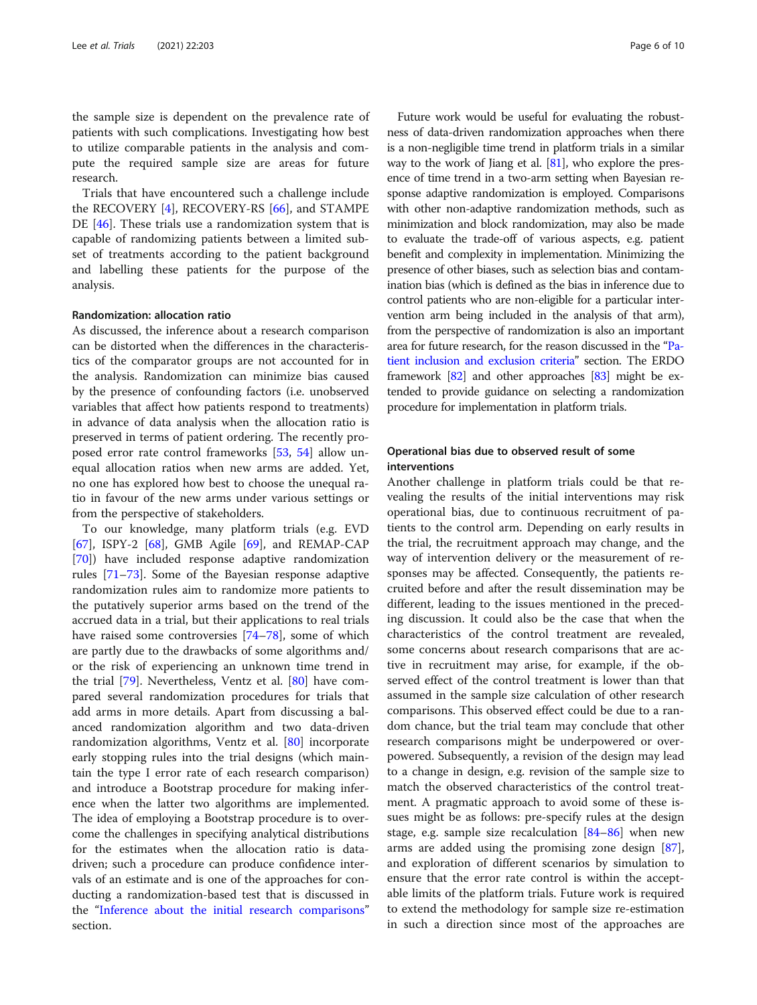the sample size is dependent on the prevalence rate of patients with such complications. Investigating how best to utilize comparable patients in the analysis and compute the required sample size are areas for future research.

Trials that have encountered such a challenge include the RECOVERY [[4\]](#page-7-0), RECOVERY-RS [[66\]](#page-8-0), and STAMPE DE [[46\]](#page-8-0). These trials use a randomization system that is capable of randomizing patients between a limited subset of treatments according to the patient background and labelling these patients for the purpose of the analysis.

## Randomization: allocation ratio

As discussed, the inference about a research comparison can be distorted when the differences in the characteristics of the comparator groups are not accounted for in the analysis. Randomization can minimize bias caused by the presence of confounding factors (i.e. unobserved variables that affect how patients respond to treatments) in advance of data analysis when the allocation ratio is preserved in terms of patient ordering. The recently proposed error rate control frameworks [[53](#page-8-0), [54](#page-8-0)] allow unequal allocation ratios when new arms are added. Yet, no one has explored how best to choose the unequal ratio in favour of the new arms under various settings or from the perspective of stakeholders.

To our knowledge, many platform trials (e.g. EVD [[67\]](#page-8-0), ISPY-2 [[68\]](#page-8-0), GMB Agile [\[69\]](#page-8-0), and REMAP-CAP [[70\]](#page-8-0)) have included response adaptive randomization rules [\[71](#page-9-0)–[73\]](#page-9-0). Some of the Bayesian response adaptive randomization rules aim to randomize more patients to the putatively superior arms based on the trend of the accrued data in a trial, but their applications to real trials have raised some controversies [[74](#page-9-0)–[78](#page-9-0)], some of which are partly due to the drawbacks of some algorithms and/ or the risk of experiencing an unknown time trend in the trial [[79\]](#page-9-0). Nevertheless, Ventz et al. [[80\]](#page-9-0) have compared several randomization procedures for trials that add arms in more details. Apart from discussing a balanced randomization algorithm and two data-driven randomization algorithms, Ventz et al. [\[80](#page-9-0)] incorporate early stopping rules into the trial designs (which maintain the type I error rate of each research comparison) and introduce a Bootstrap procedure for making inference when the latter two algorithms are implemented. The idea of employing a Bootstrap procedure is to overcome the challenges in specifying analytical distributions for the estimates when the allocation ratio is datadriven; such a procedure can produce confidence intervals of an estimate and is one of the approaches for conducting a randomization-based test that is discussed in the "[Inference about the initial research comparisons](#page-2-0)" section.

Future work would be useful for evaluating the robustness of data-driven randomization approaches when there is a non-negligible time trend in platform trials in a similar way to the work of Jiang et al. [[81](#page-9-0)], who explore the presence of time trend in a two-arm setting when Bayesian response adaptive randomization is employed. Comparisons with other non-adaptive randomization methods, such as minimization and block randomization, may also be made to evaluate the trade-off of various aspects, e.g. patient benefit and complexity in implementation. Minimizing the presence of other biases, such as selection bias and contamination bias (which is defined as the bias in inference due to control patients who are non-eligible for a particular intervention arm being included in the analysis of that arm), from the perspective of randomization is also an important area for future research, for the reason discussed in the "[Pa](#page-4-0)[tient inclusion and exclusion criteria](#page-4-0)" section. The ERDO framework [[82](#page-9-0)] and other approaches [[83](#page-9-0)] might be extended to provide guidance on selecting a randomization procedure for implementation in platform trials.

# Operational bias due to observed result of some interventions

Another challenge in platform trials could be that revealing the results of the initial interventions may risk operational bias, due to continuous recruitment of patients to the control arm. Depending on early results in the trial, the recruitment approach may change, and the way of intervention delivery or the measurement of responses may be affected. Consequently, the patients recruited before and after the result dissemination may be different, leading to the issues mentioned in the preceding discussion. It could also be the case that when the characteristics of the control treatment are revealed, some concerns about research comparisons that are active in recruitment may arise, for example, if the observed effect of the control treatment is lower than that assumed in the sample size calculation of other research comparisons. This observed effect could be due to a random chance, but the trial team may conclude that other research comparisons might be underpowered or overpowered. Subsequently, a revision of the design may lead to a change in design, e.g. revision of the sample size to match the observed characteristics of the control treatment. A pragmatic approach to avoid some of these issues might be as follows: pre-specify rules at the design stage, e.g. sample size recalculation  $[84–86]$  $[84–86]$  $[84–86]$  when new arms are added using the promising zone design [\[87](#page-9-0)], and exploration of different scenarios by simulation to ensure that the error rate control is within the acceptable limits of the platform trials. Future work is required to extend the methodology for sample size re-estimation in such a direction since most of the approaches are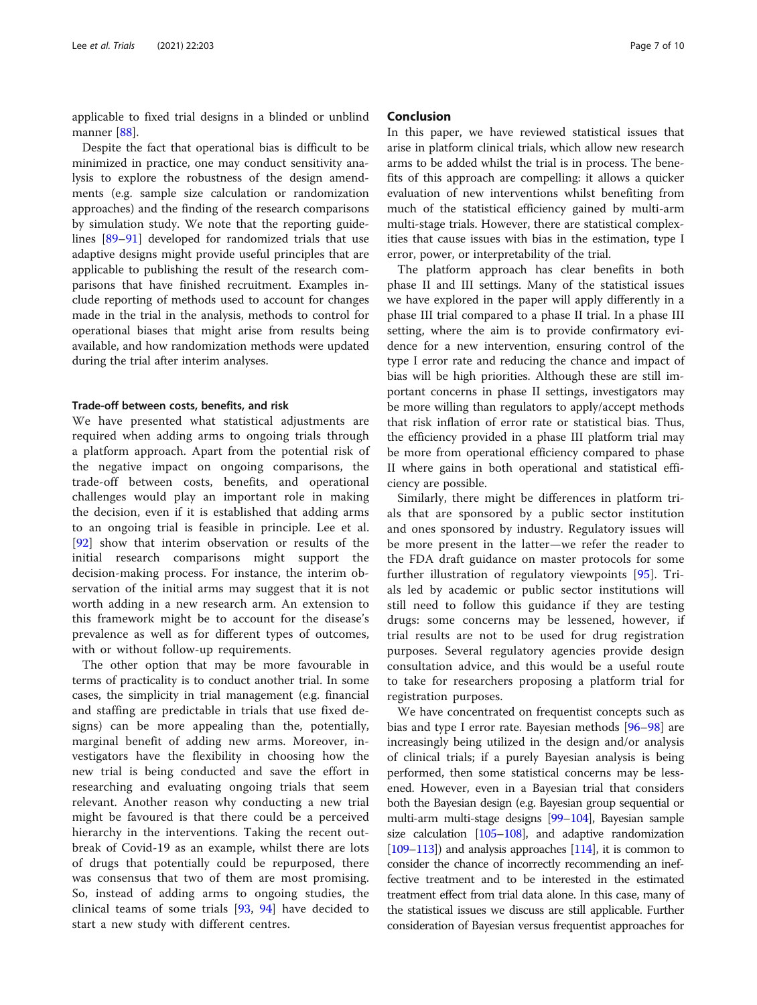applicable to fixed trial designs in a blinded or unblind manner [\[88](#page-9-0)].

Despite the fact that operational bias is difficult to be minimized in practice, one may conduct sensitivity analysis to explore the robustness of the design amendments (e.g. sample size calculation or randomization approaches) and the finding of the research comparisons by simulation study. We note that the reporting guidelines [\[89](#page-9-0)–[91\]](#page-9-0) developed for randomized trials that use adaptive designs might provide useful principles that are applicable to publishing the result of the research comparisons that have finished recruitment. Examples include reporting of methods used to account for changes made in the trial in the analysis, methods to control for operational biases that might arise from results being available, and how randomization methods were updated during the trial after interim analyses.

### Trade-off between costs, benefits, and risk

We have presented what statistical adjustments are required when adding arms to ongoing trials through a platform approach. Apart from the potential risk of the negative impact on ongoing comparisons, the trade-off between costs, benefits, and operational challenges would play an important role in making the decision, even if it is established that adding arms to an ongoing trial is feasible in principle. Lee et al. [[92\]](#page-9-0) show that interim observation or results of the initial research comparisons might support the decision-making process. For instance, the interim observation of the initial arms may suggest that it is not worth adding in a new research arm. An extension to this framework might be to account for the disease's prevalence as well as for different types of outcomes, with or without follow-up requirements.

The other option that may be more favourable in terms of practicality is to conduct another trial. In some cases, the simplicity in trial management (e.g. financial and staffing are predictable in trials that use fixed designs) can be more appealing than the, potentially, marginal benefit of adding new arms. Moreover, investigators have the flexibility in choosing how the new trial is being conducted and save the effort in researching and evaluating ongoing trials that seem relevant. Another reason why conducting a new trial might be favoured is that there could be a perceived hierarchy in the interventions. Taking the recent outbreak of Covid-19 as an example, whilst there are lots of drugs that potentially could be repurposed, there was consensus that two of them are most promising. So, instead of adding arms to ongoing studies, the clinical teams of some trials [\[93](#page-9-0), [94](#page-9-0)] have decided to start a new study with different centres.

# Conclusion

In this paper, we have reviewed statistical issues that arise in platform clinical trials, which allow new research arms to be added whilst the trial is in process. The benefits of this approach are compelling: it allows a quicker evaluation of new interventions whilst benefiting from much of the statistical efficiency gained by multi-arm multi-stage trials. However, there are statistical complexities that cause issues with bias in the estimation, type I error, power, or interpretability of the trial.

The platform approach has clear benefits in both phase II and III settings. Many of the statistical issues we have explored in the paper will apply differently in a phase III trial compared to a phase II trial. In a phase III setting, where the aim is to provide confirmatory evidence for a new intervention, ensuring control of the type I error rate and reducing the chance and impact of bias will be high priorities. Although these are still important concerns in phase II settings, investigators may be more willing than regulators to apply/accept methods that risk inflation of error rate or statistical bias. Thus, the efficiency provided in a phase III platform trial may be more from operational efficiency compared to phase II where gains in both operational and statistical efficiency are possible.

Similarly, there might be differences in platform trials that are sponsored by a public sector institution and ones sponsored by industry. Regulatory issues will be more present in the latter—we refer the reader to the FDA draft guidance on master protocols for some further illustration of regulatory viewpoints [[95\]](#page-9-0). Trials led by academic or public sector institutions will still need to follow this guidance if they are testing drugs: some concerns may be lessened, however, if trial results are not to be used for drug registration purposes. Several regulatory agencies provide design consultation advice, and this would be a useful route to take for researchers proposing a platform trial for registration purposes.

We have concentrated on frequentist concepts such as bias and type I error rate. Bayesian methods [\[96](#page-9-0)–[98\]](#page-9-0) are increasingly being utilized in the design and/or analysis of clinical trials; if a purely Bayesian analysis is being performed, then some statistical concerns may be lessened. However, even in a Bayesian trial that considers both the Bayesian design (e.g. Bayesian group sequential or multi-arm multi-stage designs [[99](#page-9-0)–[104](#page-9-0)], Bayesian sample size calculation [[105](#page-9-0)–[108\]](#page-9-0), and adaptive randomization  $[109-113]$  $[109-113]$  $[109-113]$  $[109-113]$ ) and analysis approaches  $[114]$  $[114]$ , it is common to consider the chance of incorrectly recommending an ineffective treatment and to be interested in the estimated treatment effect from trial data alone. In this case, many of the statistical issues we discuss are still applicable. Further consideration of Bayesian versus frequentist approaches for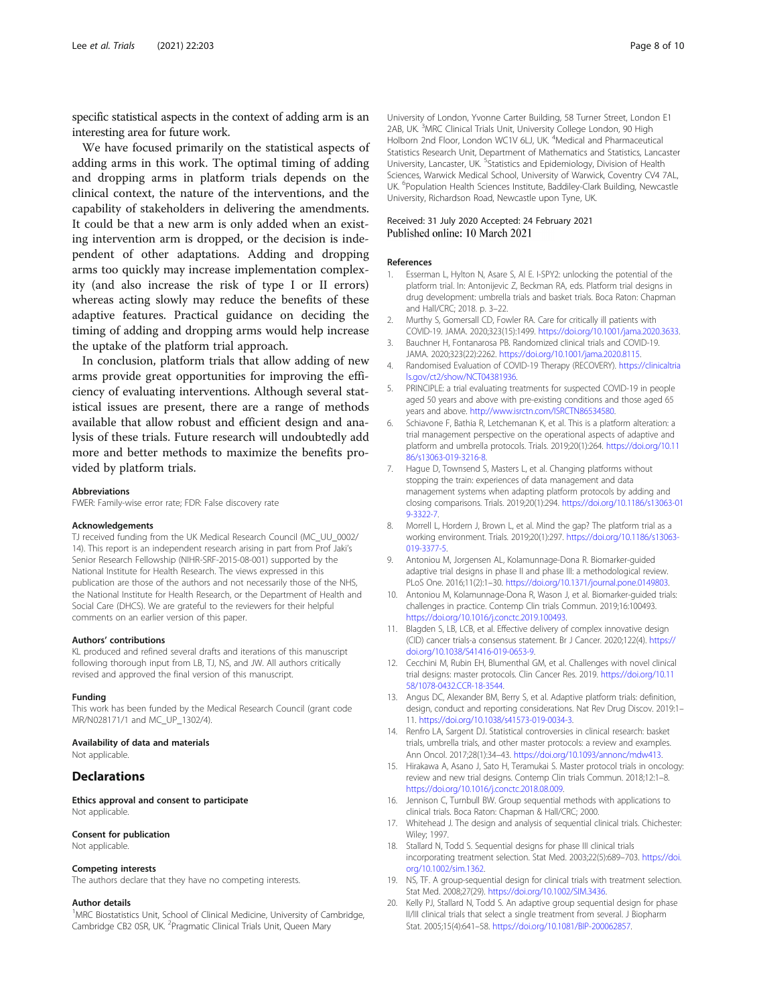<span id="page-7-0"></span>specific statistical aspects in the context of adding arm is an interesting area for future work.

We have focused primarily on the statistical aspects of adding arms in this work. The optimal timing of adding and dropping arms in platform trials depends on the clinical context, the nature of the interventions, and the capability of stakeholders in delivering the amendments. It could be that a new arm is only added when an existing intervention arm is dropped, or the decision is independent of other adaptations. Adding and dropping arms too quickly may increase implementation complexity (and also increase the risk of type I or II errors) whereas acting slowly may reduce the benefits of these adaptive features. Practical guidance on deciding the timing of adding and dropping arms would help increase the uptake of the platform trial approach.

In conclusion, platform trials that allow adding of new arms provide great opportunities for improving the efficiency of evaluating interventions. Although several statistical issues are present, there are a range of methods available that allow robust and efficient design and analysis of these trials. Future research will undoubtedly add more and better methods to maximize the benefits provided by platform trials.

#### Abbreviations

FWER: Family-wise error rate; FDR: False discovery rate

#### Acknowledgements

TJ received funding from the UK Medical Research Council (MC\_UU\_0002/ 14). This report is an independent research arising in part from Prof Jaki's Senior Research Fellowship (NIHR-SRF-2015-08-001) supported by the National Institute for Health Research. The views expressed in this publication are those of the authors and not necessarily those of the NHS, the National Institute for Health Research, or the Department of Health and Social Care (DHCS). We are grateful to the reviewers for their helpful comments on an earlier version of this paper.

#### Authors' contributions

KL produced and refined several drafts and iterations of this manuscript following thorough input from LB, TJ, NS, and JW. All authors critically revised and approved the final version of this manuscript.

#### Funding

This work has been funded by the Medical Research Council (grant code MR/N028171/1 and MC\_UP\_1302/4).

#### Availability of data and materials

Not applicable.

#### **Declarations**

Ethics approval and consent to participate Not applicable.

#### Consent for publication

Not applicable.

#### Competing interests

The authors declare that they have no competing interests.

#### Author details

<sup>1</sup>MRC Biostatistics Unit, School of Clinical Medicine, University of Cambridge, Cambridge CB2 0SR, UK. <sup>2</sup>Pragmatic Clinical Trials Unit, Queen Mary

University of London, Yvonne Carter Building, 58 Turner Street, London E1 2AB, UK.<sup>3</sup>MRC Clinical Trials Unit, University College London, 90 High Holborn 2nd Floor, London WC1V 6LJ, UK.<sup>4</sup>Medical and Pharmaceutical Statistics Research Unit, Department of Mathematics and Statistics, Lancaster University, Lancaster, UK. <sup>5</sup>Statistics and Epidemiology, Division of Health Sciences, Warwick Medical School, University of Warwick, Coventry CV4 7AL, UK. <sup>6</sup>Population Health Sciences Institute, Baddiley-Clark Building, Newcastle University, Richardson Road, Newcastle upon Tyne, UK.

# Received: 31 July 2020 Accepted: 24 February 2021 Published online: 10 March 2021

#### References

- 1. Esserman L, Hylton N, Asare S, Al E. I-SPY2: unlocking the potential of the platform trial. In: Antonijevic Z, Beckman RA, eds. Platform trial designs in drug development: umbrella trials and basket trials. Boca Raton: Chapman and Hall/CRC; 2018. p. 3–22.
- 2. Murthy S, Gomersall CD, Fowler RA. Care for critically ill patients with COVID-19. JAMA. 2020;323(15):1499. <https://doi.org/10.1001/jama.2020.3633>.
- 3. Bauchner H, Fontanarosa PB. Randomized clinical trials and COVID-19. JAMA. 2020;323(22):2262. [https://doi.org/10.1001/jama.2020.8115.](https://doi.org/10.1001/jama.2020.8115)
- 4. Randomised Evaluation of COVID-19 Therapy (RECOVERY). [https://clinicaltria](https://clinicaltrials.gov/ct2/show/NCT04381936) [ls.gov/ct2/show/NCT04381936](https://clinicaltrials.gov/ct2/show/NCT04381936).
- 5. PRINCIPLE: a trial evaluating treatments for suspected COVID-19 in people aged 50 years and above with pre-existing conditions and those aged 65 years and above. <http://www.isrctn.com/ISRCTN86534580>.
- 6. Schiavone F, Bathia R, Letchemanan K, et al. This is a platform alteration: a trial management perspective on the operational aspects of adaptive and platform and umbrella protocols. Trials. 2019;20(1):264. [https://doi.org/10.11](https://doi.org/10.1186/s13063-019-3216-8) [86/s13063-019-3216-8](https://doi.org/10.1186/s13063-019-3216-8).
- 7. Hague D, Townsend S, Masters L, et al. Changing platforms without stopping the train: experiences of data management and data management systems when adapting platform protocols by adding and closing comparisons. Trials. 2019;20(1):294. [https://doi.org/10.1186/s13063-01](https://doi.org/10.1186/s13063-019-3322-7) [9-3322-7](https://doi.org/10.1186/s13063-019-3322-7).
- 8. Morrell L, Hordern J, Brown L, et al. Mind the gap? The platform trial as a working environment. Trials. 2019;20(1):297. [https://doi.org/10.1186/s13063-](https://doi.org/10.1186/s13063-019-3377-5) [019-3377-5](https://doi.org/10.1186/s13063-019-3377-5).
- 9. Antoniou M, Jorgensen AL, Kolamunnage-Dona R. Biomarker-guided adaptive trial designs in phase II and phase III: a methodological review. PLoS One. 2016;11(2):1–30. [https://doi.org/10.1371/journal.pone.0149803.](https://doi.org/10.1371/journal.pone.0149803)
- 10. Antoniou M, Kolamunnage-Dona R, Wason J, et al. Biomarker-guided trials: challenges in practice. Contemp Clin trials Commun. 2019;16:100493. <https://doi.org/10.1016/j.conctc.2019.100493>.
- 11. Blagden S, LB, LCB, et al. Effective delivery of complex innovative design (CID) cancer trials-a consensus statement. Br J Cancer. 2020;122(4). [https://](https://doi.org/10.1038/S41416-019-0653-9) [doi.org/10.1038/S41416-019-0653-9](https://doi.org/10.1038/S41416-019-0653-9).
- 12. Cecchini M, Rubin EH, Blumenthal GM, et al. Challenges with novel clinical trial designs: master protocols. Clin Cancer Res. 2019. [https://doi.org/10.11](https://doi.org/10.1158/1078-0432.CCR-18-3544) [58/1078-0432.CCR-18-3544.](https://doi.org/10.1158/1078-0432.CCR-18-3544)
- 13. Angus DC, Alexander BM, Berry S, et al. Adaptive platform trials: definition, design, conduct and reporting considerations. Nat Rev Drug Discov. 2019:1– 11. <https://doi.org/10.1038/s41573-019-0034-3>.
- 14. Renfro LA, Sargent DJ. Statistical controversies in clinical research: basket trials, umbrella trials, and other master protocols: a review and examples. Ann Oncol. 2017;28(1):34–43. <https://doi.org/10.1093/annonc/mdw413>.
- 15. Hirakawa A, Asano J, Sato H, Teramukai S. Master protocol trials in oncology: review and new trial designs. Contemp Clin trials Commun. 2018;12:1–8. [https://doi.org/10.1016/j.conctc.2018.08.009.](https://doi.org/10.1016/j.conctc.2018.08.009)
- 16. Jennison C, Turnbull BW. Group sequential methods with applications to clinical trials. Boca Raton: Chapman & Hall/CRC; 2000.
- 17. Whitehead J. The design and analysis of sequential clinical trials. Chichester: Wiley; 1997.
- 18. Stallard N, Todd S. Sequential designs for phase III clinical trials incorporating treatment selection. Stat Med. 2003;22(5):689–703. [https://doi.](https://doi.org/10.1002/sim.1362) [org/10.1002/sim.1362.](https://doi.org/10.1002/sim.1362)
- 19. NS, TF. A group-sequential design for clinical trials with treatment selection. Stat Med. 2008;27(29). [https://doi.org/10.1002/SIM.3436.](https://doi.org/10.1002/SIM.3436)
- 20. Kelly PJ, Stallard N, Todd S. An adaptive group sequential design for phase II/III clinical trials that select a single treatment from several. J Biopharm Stat. 2005;15(4):641–58. <https://doi.org/10.1081/BIP-200062857>.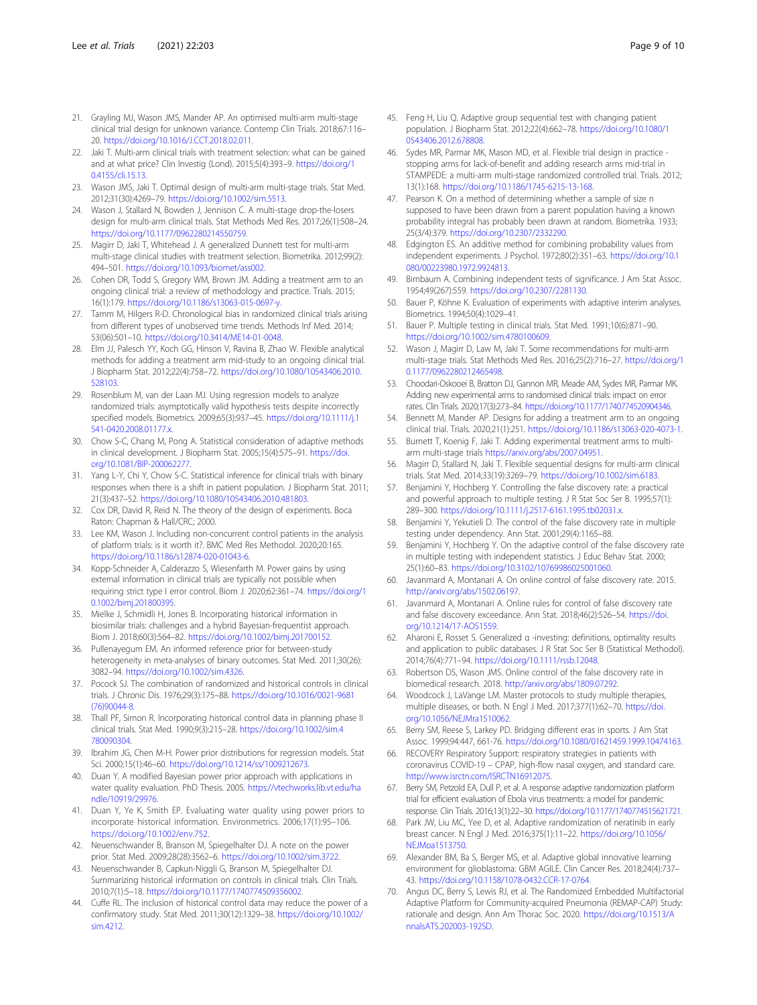- <span id="page-8-0"></span>21. Grayling MJ, Wason JMS, Mander AP. An optimised multi-arm multi-stage clinical trial design for unknown variance. Contemp Clin Trials. 2018;67:116– 20. <https://doi.org/10.1016/J.CCT.2018.02.011>.
- 22. Jaki T. Multi-arm clinical trials with treatment selection: what can be gained and at what price? Clin Investig (Lond). 2015;5(4):393–9. [https://doi.org/1](https://doi.org/10.4155/cli.15.13) [0.4155/cli.15.13.](https://doi.org/10.4155/cli.15.13)
- 23. Wason JMS, Jaki T. Optimal design of multi-arm multi-stage trials. Stat Med. 2012;31(30):4269–79. <https://doi.org/10.1002/sim.5513>.
- 24. Wason J, Stallard N, Bowden J, Jennison C. A multi-stage drop-the-losers design for multi-arm clinical trials. Stat Methods Med Res. 2017;26(1):508–24. <https://doi.org/10.1177/0962280214550759>.
- 25. Magirr D, Jaki T, Whitehead J. A generalized Dunnett test for multi-arm multi-stage clinical studies with treatment selection. Biometrika. 2012;99(2): 494–501. [https://doi.org/10.1093/biomet/ass002.](https://doi.org/10.1093/biomet/ass002)
- 26. Cohen DR, Todd S, Gregory WM, Brown JM. Adding a treatment arm to an ongoing clinical trial: a review of methodology and practice. Trials. 2015; 16(1):179. <https://doi.org/10.1186/s13063-015-0697-y>.
- 27. Tamm M, Hilgers R-D. Chronological bias in randomized clinical trials arising from different types of unobserved time trends. Methods Inf Med. 2014; 53(06):501–10. [https://doi.org/10.3414/ME14-01-0048.](https://doi.org/10.3414/ME14-01-0048)
- 28. Elm JJ, Palesch YY, Koch GG, Hinson V, Ravina B, Zhao W. Flexible analytical methods for adding a treatment arm mid-study to an ongoing clinical trial. J Biopharm Stat. 2012;22(4):758–72. [https://doi.org/10.1080/10543406.2010.](https://doi.org/10.1080/10543406.2010.528103) [528103](https://doi.org/10.1080/10543406.2010.528103).
- 29. Rosenblum M, van der Laan MJ. Using regression models to analyze randomized trials: asymptotically valid hypothesis tests despite incorrectly specified models. Biometrics. 2009;65(3):937–45. [https://doi.org/10.1111/j.1](https://doi.org/10.1111/j.1541-0420.2008.01177.x) [541-0420.2008.01177.x.](https://doi.org/10.1111/j.1541-0420.2008.01177.x)
- 30. Chow S-C, Chang M, Pong A. Statistical consideration of adaptive methods in clinical development. J Biopharm Stat. 2005;15(4):575–91. [https://doi.](https://doi.org/10.1081/BIP-200062277) [org/10.1081/BIP-200062277](https://doi.org/10.1081/BIP-200062277).
- 31. Yang L-Y, Chi Y, Chow S-C. Statistical inference for clinical trials with binary responses when there is a shift in patient population. J Biopharm Stat. 2011; 21(3):437–52. [https://doi.org/10.1080/10543406.2010.481803.](https://doi.org/10.1080/10543406.2010.481803)
- 32. Cox DR, David R, Reid N. The theory of the design of experiments. Boca Raton: Chapman & Hall/CRC; 2000.
- 33. Lee KM, Wason J. Including non-concurrent control patients in the analysis of platform trials: is it worth it?. BMC Med Res Methodol. 2020;20:165. [https://doi.org/10.1186/s12874-020-01043-6.](https://doi.org/10.1186/s12874-020-01043-6)
- 34. Kopp-Schneider A, Calderazzo S, Wiesenfarth M. Power gains by using external information in clinical trials are typically not possible when requiring strict type I error control. Biom J. 2020;62:361–74. [https://doi.org/1](https://doi.org/10.1002/bimj.201800395) [0.1002/bimj.201800395.](https://doi.org/10.1002/bimj.201800395)
- 35. Mielke J, Schmidli H, Jones B. Incorporating historical information in biosimilar trials: challenges and a hybrid Bayesian-frequentist approach. Biom J. 2018;60(3):564–82. [https://doi.org/10.1002/bimj.201700152.](https://doi.org/10.1002/bimj.201700152)
- 36. Pullenayegum EM. An informed reference prior for between-study heterogeneity in meta-analyses of binary outcomes. Stat Med. 2011;30(26): 3082–94. [https://doi.org/10.1002/sim.4326.](https://doi.org/10.1002/sim.4326)
- 37. Pocock SJ. The combination of randomized and historical controls in clinical trials. J Chronic Dis. 1976;29(3):175–88. [https://doi.org/10.1016/0021-9681](https://doi.org/10.1016/0021-9681(76)90044-8) [\(76\)90044-8.](https://doi.org/10.1016/0021-9681(76)90044-8)
- 38. Thall PF, Simon R. Incorporating historical control data in planning phase II clinical trials. Stat Med. 1990;9(3):215–28. [https://doi.org/10.1002/sim.4](https://doi.org/10.1002/sim.4780090304) [780090304](https://doi.org/10.1002/sim.4780090304).
- 39. Ibrahim JG, Chen M-H. Power prior distributions for regression models. Stat Sci. 2000;15(1):46–60. <https://doi.org/10.1214/ss/1009212673>.
- 40. Duan Y. A modified Bayesian power prior approach with applications in water quality evaluation. PhD Thesis. 2005. [https://vtechworks.lib.vt.edu/ha](https://vtechworks.lib.vt.edu/handle/10919/29976) [ndle/10919/29976](https://vtechworks.lib.vt.edu/handle/10919/29976).
- 41. Duan Y, Ye K, Smith EP. Evaluating water quality using power priors to incorporate historical information. Environmetrics. 2006;17(1):95–106. [https://doi.org/10.1002/env.752.](https://doi.org/10.1002/env.752)
- 42. Neuenschwander B, Branson M, Spiegelhalter DJ. A note on the power prior. Stat Med. 2009;28(28):3562–6. [https://doi.org/10.1002/sim.3722.](https://doi.org/10.1002/sim.3722)
- 43. Neuenschwander B, Capkun-Niggli G, Branson M, Spiegelhalter DJ. Summarizing historical information on controls in clinical trials. Clin Trials. 2010;7(1):5–18. <https://doi.org/10.1177/1740774509356002>.
- 44. Cuffe RL. The inclusion of historical control data may reduce the power of a confirmatory study. Stat Med. 2011;30(12):1329–38. [https://doi.org/10.1002/](https://doi.org/10.1002/sim.4212) [sim.4212](https://doi.org/10.1002/sim.4212).
- 45. Feng H, Liu Q. Adaptive group sequential test with changing patient population. J Biopharm Stat. 2012;22(4):662–78. [https://doi.org/10.1080/1](https://doi.org/10.1080/10543406.2012.678808) [0543406.2012.678808](https://doi.org/10.1080/10543406.2012.678808).
- 46. Sydes MR, Parmar MK, Mason MD, et al. Flexible trial design in practice stopping arms for lack-of-benefit and adding research arms mid-trial in STAMPEDE: a multi-arm multi-stage randomized controlled trial. Trials. 2012; 13(1):168. <https://doi.org/10.1186/1745-6215-13-168>.
- 47. Pearson K. On a method of determining whether a sample of size n supposed to have been drawn from a parent population having a known probability integral has probably been drawn at random. Biometrika. 1933; 25(3/4):379. <https://doi.org/10.2307/2332290>.
- 48. Edgington ES. An additive method for combining probability values from independent experiments. J Psychol. 1972;80(2):351–63. [https://doi.org/10.1](https://doi.org/10.1080/00223980.1972.9924813) [080/00223980.1972.9924813.](https://doi.org/10.1080/00223980.1972.9924813)
- 49. Birnbaum A. Combining independent tests of significance. J Am Stat Assoc. 1954;49(267):559. <https://doi.org/10.2307/2281130>.
- 50. Bauer P, Köhne K. Evaluation of experiments with adaptive interim analyses. Biometrics. 1994;50(4):1029–41.
- 51. Bauer P. Multiple testing in clinical trials. Stat Med. 1991;10(6):871–90. <https://doi.org/10.1002/sim.4780100609>.
- 52. Wason J, Magirr D, Law M, Jaki T. Some recommendations for multi-arm multi-stage trials. Stat Methods Med Res. 2016;25(2):716–27. [https://doi.org/1](https://doi.org/10.1177/0962280212465498) [0.1177/0962280212465498](https://doi.org/10.1177/0962280212465498).
- 53. Choodari-Oskooei B, Bratton DJ, Gannon MR, Meade AM, Sydes MR, Parmar MK. Adding new experimental arms to randomised clinical trials: impact on error rates. Clin Trials. 2020;17(3):273–84. <https://doi.org/10.1177/1740774520904346>.
- 54. Bennett M, Mander AP. Designs for adding a treatment arm to an ongoing clinical trial. Trials. 2020;21(1):251. <https://doi.org/10.1186/s13063-020-4073-1>.
- 55. Burnett T, Koenig F, Jaki T. Adding experimental treatment arms to multiarm multi-stage trials <https://arxiv.org/abs/2007.04951>.
- 56. Magirr D, Stallard N, Jaki T. Flexible sequential designs for multi-arm clinical trials. Stat Med. 2014;33(19):3269–79. [https://doi.org/10.1002/sim.6183.](https://doi.org/10.1002/sim.6183)
- 57. Benjamini Y, Hochberg Y. Controlling the false discovery rate: a practical and powerful approach to multiple testing. J R Stat Soc Ser B. 1995;57(1): 289–300. [https://doi.org/10.1111/j.2517-6161.1995.tb02031.x.](https://doi.org/10.1111/j.2517-6161.1995.tb02031.x)
- 58. Benjamini Y, Yekutieli D. The control of the false discovery rate in multiple testing under dependency. Ann Stat. 2001;29(4):1165–88.
- 59. Benjamini Y, Hochberg Y. On the adaptive control of the false discovery rate in multiple testing with independent statistics. J Educ Behav Stat. 2000; 25(1):60–83. [https://doi.org/10.3102/10769986025001060.](https://doi.org/10.3102/10769986025001060)
- 60. Javanmard A, Montanari A. On online control of false discovery rate. 2015. <http://arxiv.org/abs/1502.06197>.
- 61. Javanmard A, Montanari A. Online rules for control of false discovery rate and false discovery exceedance. Ann Stat. 2018;46(2):526–54. [https://doi.](https://doi.org/10.1214/17-AOS1559) [org/10.1214/17-AOS1559.](https://doi.org/10.1214/17-AOS1559)
- 62. Aharoni E, Rosset S. Generalized α -investing: definitions, optimality results and application to public databases. J R Stat Soc Ser B (Statistical Methodol). 2014;76(4):771–94. <https://doi.org/10.1111/rssb.12048>.
- 63. Robertson DS, Wason JMS. Online control of the false discovery rate in biomedical research. 2018. [http://arxiv.org/abs/1809.07292.](http://arxiv.org/abs/1809.07292)
- 64. Woodcock J, LaVange LM. Master protocols to study multiple therapies, multiple diseases, or both. N Engl J Med. 2017;377(1):62–70. [https://doi.](https://doi.org/10.1056/NEJMra1510062) [org/10.1056/NEJMra1510062.](https://doi.org/10.1056/NEJMra1510062)
- 65. Berry SM, Reese S, Larkey PD. Bridging different eras in sports. J Am Stat Assoc. 1999;94:447, 661-76. <https://doi.org/10.1080/01621459.1999.10474163>.
- 66. RECOVERY Respiratory Support: respiratory strategies in patients with coronavirus COVID-19 – CPAP, high-flow nasal oxygen, and standard care. <http://www.isrctn.com/ISRCTN16912075>.
- 67. Berry SM, Petzold EA, Dull P, et al. A response adaptive randomization platform trial for efficient evaluation of Ebola virus treatments: a model for pandemic response. Clin Trials. 2016;13(1):22–30. [https://doi.org/10.1177/1740774515621721.](https://doi.org/10.1177/1740774515621721)
- 68. Park JW, Liu MC, Yee D, et al. Adaptive randomization of neratinib in early breast cancer. N Engl J Med. 2016;375(1):11–22. [https://doi.org/10.1056/](https://doi.org/10.1056/NEJMoa1513750) [NEJMoa1513750](https://doi.org/10.1056/NEJMoa1513750).
- 69. Alexander BM, Ba S, Berger MS, et al. Adaptive global innovative learning environment for glioblastoma: GBM AGILE. Clin Cancer Res. 2018;24(4):737– 43. [https://doi.org/10.1158/1078-0432.CCR-17-0764.](https://doi.org/10.1158/1078-0432.CCR-17-0764)
- 70. Angus DC, Berry S, Lewis RJ, et al. The Randomized Embedded Multifactorial Adaptive Platform for Community-acquired Pneumonia (REMAP-CAP) Study: rationale and design. Ann Am Thorac Soc. 2020. [https://doi.org/10.1513/A](https://doi.org/10.1513/AnnalsATS.202003-192SD) [nnalsATS.202003-192SD](https://doi.org/10.1513/AnnalsATS.202003-192SD).